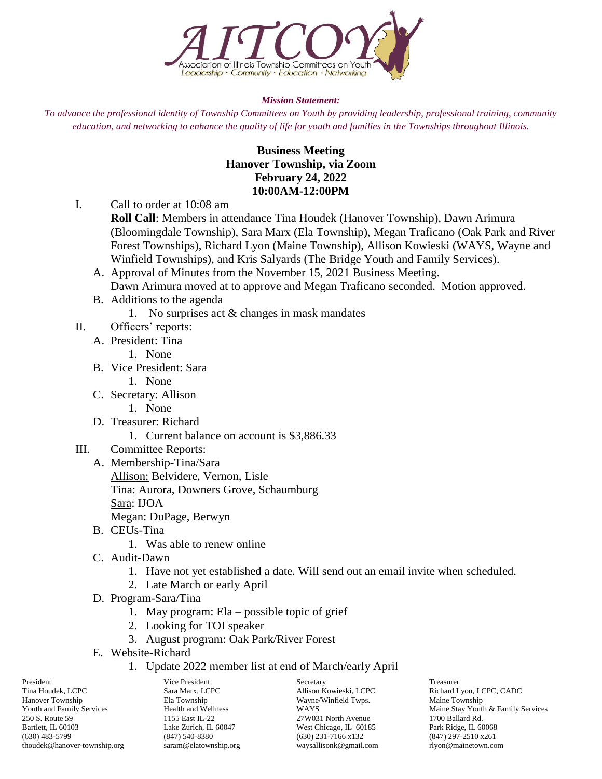

## *Mission Statement:*

*To advance the professional identity of Township Committees on Youth by providing leadership, professional training, community education, and networking to enhance the quality of life for youth and families in the Townships throughout Illinois.*

## **Business Meeting Hanover Township, via Zoom February 24, 2022 10:00AM-12:00PM**

I. Call to order at 10:08 am

**Roll Call**: Members in attendance Tina Houdek (Hanover Township), Dawn Arimura (Bloomingdale Township), Sara Marx (Ela Township), Megan Traficano (Oak Park and River Forest Townships), Richard Lyon (Maine Township), Allison Kowieski (WAYS, Wayne and Winfield Townships), and Kris Salyards (The Bridge Youth and Family Services).

- A. Approval of Minutes from the November 15, 2021 Business Meeting. Dawn Arimura moved at to approve and Megan Traficano seconded. Motion approved.
- B. Additions to the agenda
	- 1. No surprises act & changes in mask mandates
- II. Officers' reports:
	- A. President: Tina
		- 1. None
	- B. Vice President: Sara
		- 1. None
	- C. Secretary: Allison
		- 1. None
	- D. Treasurer: Richard
		- 1. Current balance on account is \$3,886.33
- III. Committee Reports:
	- A. Membership-Tina/Sara Allison: Belvidere, Vernon, Lisle Tina: Aurora, Downers Grove, Schaumburg Sara: IJOA Megan: DuPage, Berwyn
	- B. CEUs-Tina
		- 1. Was able to renew online
	- C. Audit-Dawn
		- 1. Have not yet established a date. Will send out an email invite when scheduled.
		- 2. Late March or early April
	- D. Program-Sara/Tina
		- 1. May program: Ela possible topic of grief
		- 2. Looking for TOI speaker
		- 3. August program: Oak Park/River Forest
	- E. Website-Richard
		- 1. Update 2022 member list at end of March/early April

President Treasurer Vice President Secretary Secretary Treasurer Tina Houdek, LCPC Sara Marx, LCPC Allison Kowieski, LCPC Richard Lyon, LCPC, CADC Hanover Township Ela Township Wayne/Winfield Twps. Maine Township Bartlett, IL 60103 Lake Zurich, IL 60047 West Chicago, IL 60185 Park Ridge, IL 60068 (630) 483-5799 (847) 540-8380 (630) 231-7166 x132 (847) 297-2510 x261 thoudek@hanover-township.org saram@elatownship.org waysallisonk@gmail.com rlyon@mainetown.com

27 W031 North Avenue

Youth and Family Services<br>
250 S. Route 59 Maine Stay Youth & Family Services<br>
27W031 North Avenue 1700 Ballard Rd.<br>
27W031 North Avenue 1700 Ballard Rd.